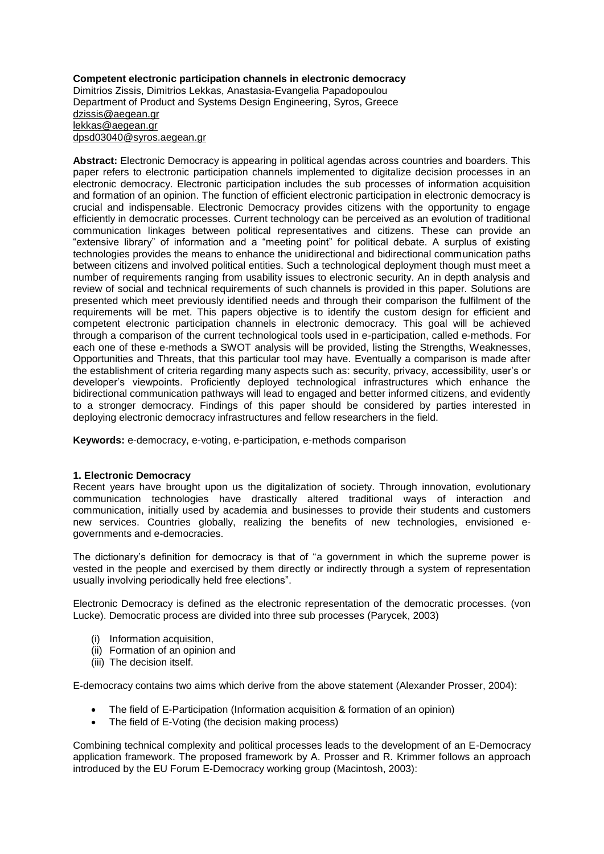#### **Competent electronic participation channels in electronic democracy** Dimitrios Zissis, Dimitrios Lekkas, Anastasia-Evangelia Papadopoulou Department of Product and Systems Design Engineering, Syros, Greece [dzissis@aegean.gr](mailto:dzissis@aegean.gr) [lekkas@aegean.gr](mailto:lekkas@aegean.gr) [dpsd03040@syros.aegean.gr](mailto:dpsd03040@syros.aegean.gr)

**Abstract:** Electronic Democracy is appearing in political agendas across countries and boarders. This paper refers to electronic participation channels implemented to digitalize decision processes in an electronic democracy. Electronic participation includes the sub processes of information acquisition and formation of an opinion. The function of efficient electronic participation in electronic democracy is crucial and indispensable. Electronic Democracy provides citizens with the opportunity to engage efficiently in democratic processes. Current technology can be perceived as an evolution of traditional communication linkages between political representatives and citizens. These can provide an "extensive library" of information and a "meeting point" for political debate. A surplus of existing technologies provides the means to enhance the unidirectional and bidirectional communication paths between citizens and involved political entities. Such a technological deployment though must meet a number of requirements ranging from usability issues to electronic security. An in depth analysis and review of social and technical requirements of such channels is provided in this paper. Solutions are presented which meet previously identified needs and through their comparison the fulfilment of the requirements will be met. This papers objective is to identify the custom design for efficient and competent electronic participation channels in electronic democracy. This goal will be achieved through a comparison of the current technological tools used in e-participation, called e-methods. For each one of these e-methods a SWOT analysis will be provided, listing the Strengths, Weaknesses, Opportunities and Threats, that this particular tool may have. Eventually a comparison is made after the establishment of criteria regarding many aspects such as: security, privacy, accessibility, user"s or developer"s viewpoints. Proficiently deployed technological infrastructures which enhance the bidirectional communication pathways will lead to engaged and better informed citizens, and evidently to a stronger democracy. Findings of this paper should be considered by parties interested in deploying electronic democracy infrastructures and fellow researchers in the field.

**Keywords:** e-democracy, e-voting, e-participation, e-methods comparison

### **1. Electronic Democracy**

Recent years have brought upon us the digitalization of society. Through innovation, evolutionary communication technologies have drastically altered traditional ways of interaction and communication, initially used by academia and businesses to provide their students and customers new services. Countries globally, realizing the benefits of new technologies, envisioned egovernments and e-democracies.

The dictionary"s definition for democracy is that of "a government in which the supreme power is vested in the people and exercised by them directly or indirectly through a system of representation usually involving periodically held free elections".

Electronic Democracy is defined as the electronic representation of the democratic processes. (von Lucke). Democratic process are divided into three sub processes (Parycek, 2003)

- (i) Information acquisition,
- (ii) Formation of an opinion and
- (iii) The decision itself.

E-democracy contains two aims which derive from the above statement (Alexander Prosser, 2004):

- The field of E-Participation (Information acquisition & formation of an opinion)
- The field of E-Voting (the decision making process)

Combining technical complexity and political processes leads to the development of an E-Democracy application framework. The proposed framework by A. Prosser and R. Krimmer follows an approach introduced by the EU Forum E-Democracy working group (Macintosh, 2003):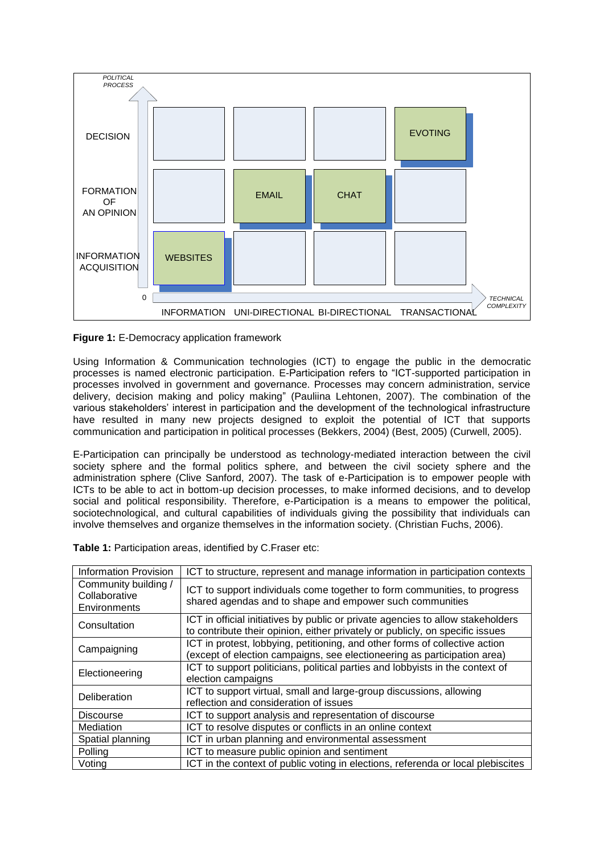

**Figure 1:** E-Democracy application framework

Using Information & Communication technologies (ICT) to engage the public in the democratic processes is named electronic participation. E-Participation refers to "ICT-supported participation in processes involved in government and governance. Processes may concern administration, service delivery, decision making and policy making" (Pauliina Lehtonen, 2007). The combination of the various stakeholders" interest in participation and the development of the technological infrastructure have resulted in many new projects designed to exploit the potential of ICT that supports communication and participation in political processes (Bekkers, 2004) (Best, 2005) (Curwell, 2005).

E-Participation can principally be understood as technology-mediated interaction between the civil society sphere and the formal politics sphere, and between the civil society sphere and the administration sphere (Clive Sanford, 2007). The task of e-Participation is to empower people with ICTs to be able to act in bottom-up decision processes, to make informed decisions, and to develop social and political responsibility. Therefore, e-Participation is a means to empower the political, sociotechnological, and cultural capabilities of individuals giving the possibility that individuals can involve themselves and organize themselves in the information society. (Christian Fuchs, 2006).

|  | Table 1: Participation areas, identified by C. Fraser etc: |
|--|------------------------------------------------------------|
|  |                                                            |

| <b>Information Provision</b>                          | ICT to structure, represent and manage information in participation contexts                                                                                     |
|-------------------------------------------------------|------------------------------------------------------------------------------------------------------------------------------------------------------------------|
| Community building /<br>Collaborative<br>Environments | ICT to support individuals come together to form communities, to progress<br>shared agendas and to shape and empower such communities                            |
| Consultation                                          | ICT in official initiatives by public or private agencies to allow stakeholders<br>to contribute their opinion, either privately or publicly, on specific issues |
| Campaigning                                           | ICT in protest, lobbying, petitioning, and other forms of collective action<br>(except of election campaigns, see electioneering as participation area)          |
| Electioneering                                        | ICT to support politicians, political parties and lobbyists in the context of<br>election campaigns                                                              |
| Deliberation                                          | ICT to support virtual, small and large-group discussions, allowing<br>reflection and consideration of issues                                                    |
| <b>Discourse</b>                                      | ICT to support analysis and representation of discourse                                                                                                          |
| Mediation                                             | ICT to resolve disputes or conflicts in an online context                                                                                                        |
| Spatial planning                                      | ICT in urban planning and environmental assessment                                                                                                               |
| Polling                                               | ICT to measure public opinion and sentiment                                                                                                                      |
| Voting                                                | ICT in the context of public voting in elections, referenda or local plebiscites                                                                                 |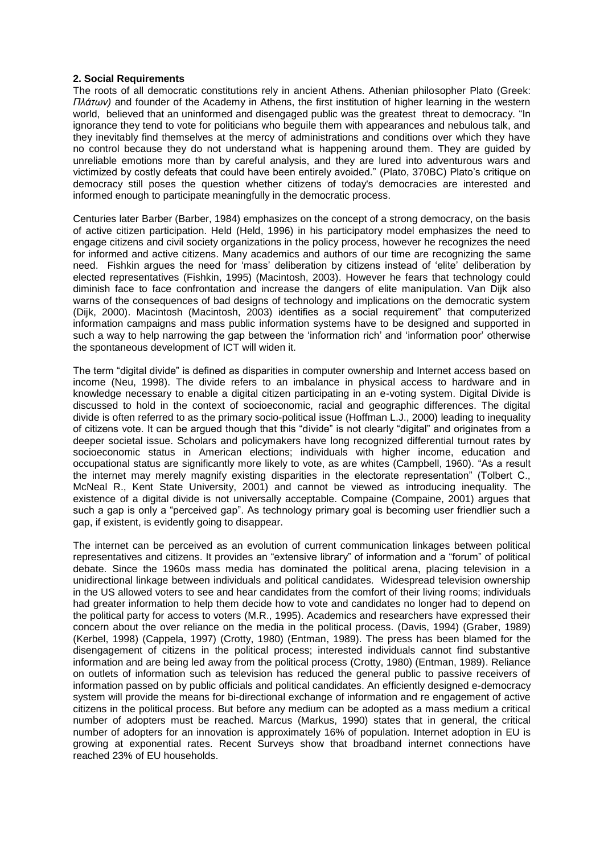#### **2. Social Requirements**

The roots of all democratic constitutions rely in ancient Athens. Athenian philosopher Plato (Greek: *Πλάτων)* and founder of the Academy in Athens, the first institution of higher learning in the western world, believed that an uninformed and disengaged public was the greatest threat to democracy. "In ignorance they tend to vote for politicians who beguile them with appearances and nebulous talk, and they inevitably find themselves at the mercy of administrations and conditions over which they have no control because they do not understand what is happening around them. They are guided by unreliable emotions more than by careful analysis, and they are lured into adventurous wars and victimized by costly defeats that could have been entirely avoided." (Plato, 370BC) Plato's critique on democracy still poses the question whether citizens of today's democracies are interested and informed enough to participate meaningfully in the democratic process.

Centuries later Barber (Barber, 1984) emphasizes on the concept of a strong democracy, on the basis of active citizen participation. Held (Held, 1996) in his participatory model emphasizes the need to engage citizens and civil society organizations in the policy process, however he recognizes the need for informed and active citizens. Many academics and authors of our time are recognizing the same need. Fishkin argues the need for "mass" deliberation by citizens instead of "elite" deliberation by elected representatives (Fishkin, 1995) (Macintosh, 2003). However he fears that technology could diminish face to face confrontation and increase the dangers of elite manipulation. Van Dijk also warns of the consequences of bad designs of technology and implications on the democratic system (Dijk, 2000). Macintosh (Macintosh, 2003) identifies as a social requirement" that computerized information campaigns and mass public information systems have to be designed and supported in such a way to help narrowing the gap between the "information rich" and "information poor" otherwise the spontaneous development of ICT will widen it.

The term "digital divide" is defined as disparities in computer ownership and Internet access based on income (Neu, 1998). The divide refers to an imbalance in physical access to hardware and in knowledge necessary to enable a digital citizen participating in an e-voting system. Digital Divide is discussed to hold in the context of socioeconomic, racial and geographic differences. The digital divide is often referred to as the primary socio-political issue (Hoffman L.J., 2000) leading to inequality of citizens vote. It can be argued though that this "divide" is not clearly "digital" and originates from a deeper societal issue. Scholars and policymakers have long recognized differential turnout rates by socioeconomic status in American elections; individuals with higher income, education and occupational status are significantly more likely to vote, as are whites (Campbell, 1960). "As a result the internet may merely magnify existing disparities in the electorate representation" (Tolbert C., McNeal R., Kent State University, 2001) and cannot be viewed as introducing inequality. The existence of a digital divide is not universally acceptable. Compaine (Compaine, 2001) argues that such a gap is only a "perceived gap". As technology primary goal is becoming user friendlier such a gap, if existent, is evidently going to disappear.

The internet can be perceived as an evolution of current communication linkages between political representatives and citizens. It provides an "extensive library" of information and a "forum" of political debate. Since the 1960s mass media has dominated the political arena, placing television in a unidirectional linkage between individuals and political candidates. Widespread television ownership in the US allowed voters to see and hear candidates from the comfort of their living rooms; individuals had greater information to help them decide how to vote and candidates no longer had to depend on the political party for access to voters (M.R., 1995). Academics and researchers have expressed their concern about the over reliance on the media in the political process. (Davis, 1994) (Graber, 1989) (Kerbel, 1998) (Cappela, 1997) (Crotty, 1980) (Entman, 1989). The press has been blamed for the disengagement of citizens in the political process; interested individuals cannot find substantive information and are being led away from the political process (Crotty, 1980) (Entman, 1989). Reliance on outlets of information such as television has reduced the general public to passive receivers of information passed on by public officials and political candidates. An efficiently designed e-democracy system will provide the means for bi-directional exchange of information and re engagement of active citizens in the political process. But before any medium can be adopted as a mass medium a critical number of adopters must be reached. Marcus (Markus, 1990) states that in general, the critical number of adopters for an innovation is approximately 16% of population. Internet adoption in EU is growing at exponential rates. Recent Surveys show that broadband internet connections have reached 23% of EU households.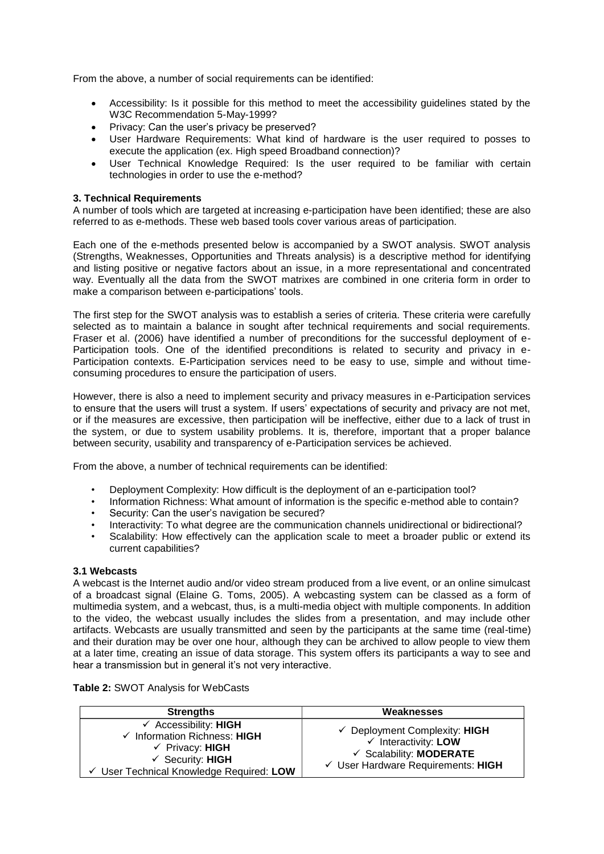From the above, a number of social requirements can be identified:

- Accessibility: Is it possible for this method to meet the accessibility guidelines stated by the W3C Recommendation 5-May-1999?
- Privacy: Can the user's privacy be preserved?
- User Hardware Requirements: What kind of hardware is the user required to posses to execute the application (ex. High speed Broadband connection)?
- User Technical Knowledge Required: Is the user required to be familiar with certain technologies in order to use the e-method?

### **3. Technical Requirements**

A number of tools which are targeted at increasing e-participation have been identified; these are also referred to as e-methods. These web based tools cover various areas of participation.

Each one of the e-methods presented below is accompanied by a SWOT analysis. SWOT analysis (Strengths, Weaknesses, Opportunities and Threats analysis) is a descriptive method for identifying and listing positive or negative factors about an issue, in a more representational and concentrated way. Eventually all the data from the SWOT matrixes are combined in one criteria form in order to make a comparison between e-participations' tools.

The first step for the SWOT analysis was to establish a series of criteria. These criteria were carefully selected as to maintain a balance in sought after technical requirements and social requirements. Fraser et al. (2006) have identified a number of preconditions for the successful deployment of e-Participation tools. One of the identified preconditions is related to security and privacy in e-Participation contexts. E-Participation services need to be easy to use, simple and without timeconsuming procedures to ensure the participation of users.

However, there is also a need to implement security and privacy measures in e-Participation services to ensure that the users will trust a system. If users" expectations of security and privacy are not met, or if the measures are excessive, then participation will be ineffective, either due to a lack of trust in the system, or due to system usability problems. It is, therefore, important that a proper balance between security, usability and transparency of e-Participation services be achieved.

From the above, a number of technical requirements can be identified:

- Deployment Complexity: How difficult is the deployment of an e-participation tool?
- Information Richness: What amount of information is the specific e-method able to contain?
- Security: Can the user's navigation be secured?
- Interactivity: To what degree are the communication channels unidirectional or bidirectional?
- Scalability: How effectively can the application scale to meet a broader public or extend its current capabilities?

#### **3.1 Webcasts**

A webcast is the Internet audio and/or video stream produced from a live event, or an online simulcast of a broadcast signal (Elaine G. Toms, 2005). A webcasting system can be classed as a form of multimedia system, and a webcast, thus, is a multi-media object with multiple components. In addition to the video, the webcast usually includes the slides from a presentation, and may include other artifacts. Webcasts are usually transmitted and seen by the participants at the same time (real-time) and their duration may be over one hour, although they can be archived to allow people to view them at a later time, creating an issue of data storage. This system offers its participants a way to see and hear a transmission but in general it's not very interactive.

|  |  | Table 2: SWOT Analysis for WebCasts |
|--|--|-------------------------------------|
|--|--|-------------------------------------|

| <b>Strengths</b>                                                                                                                                                                   | Weaknesses                                                                                                                                                                |
|------------------------------------------------------------------------------------------------------------------------------------------------------------------------------------|---------------------------------------------------------------------------------------------------------------------------------------------------------------------------|
| $\checkmark$ Accessibility: HIGH<br>$\checkmark$ Information Richness: HIGH<br>$\checkmark$ Privacy: HIGH<br>$\checkmark$ Security: HIGH<br>User Technical Knowledge Required: LOW | $\checkmark$ Deployment Complexity: HIGH<br>$\checkmark$ Interactivity: LOW<br>$\checkmark$ Scalability: <b>MODERATE</b><br>$\checkmark$ User Hardware Requirements: HIGH |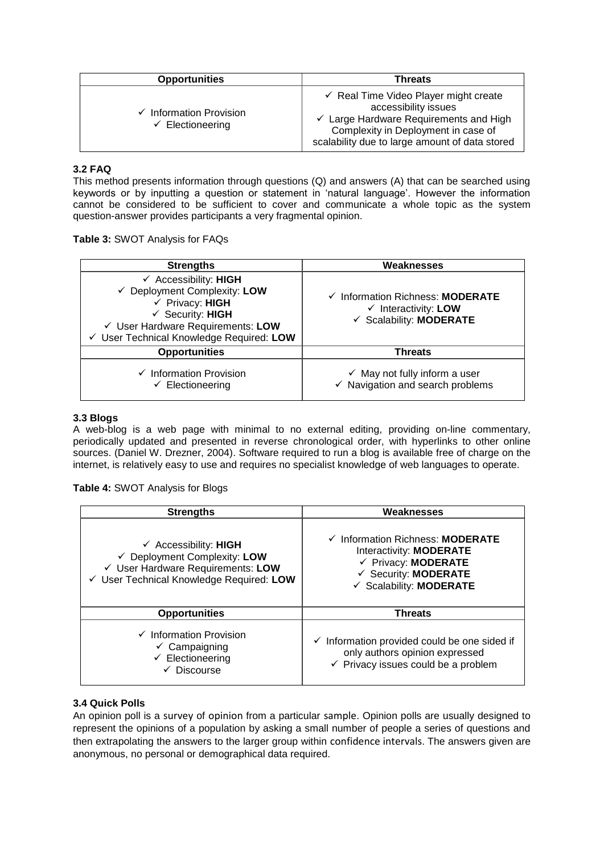| <b>Opportunities</b>                                 | <b>Threats</b>                                                                                                                                                                                                         |
|------------------------------------------------------|------------------------------------------------------------------------------------------------------------------------------------------------------------------------------------------------------------------------|
| Information Provision<br>$\checkmark$ Electioneering | $\checkmark$ Real Time Video Player might create<br>accessibility issues<br>$\checkmark$ Large Hardware Requirements and High<br>Complexity in Deployment in case of<br>scalability due to large amount of data stored |

# **3.2 FAQ**

This method presents information through questions (Q) and answers (A) that can be searched using keywords or by inputting a question or statement in "natural language". However the information cannot be considered to be sufficient to cover and communicate a whole topic as the system question-answer provides participants a very fragmental opinion.

# **Table 3:** SWOT Analysis for FAQs

| <b>Strengths</b>                                                                                                                                                                                                          | Weaknesses                                                                                     |
|---------------------------------------------------------------------------------------------------------------------------------------------------------------------------------------------------------------------------|------------------------------------------------------------------------------------------------|
| $\checkmark$ Accessibility: HIGH<br>$\checkmark$ Deployment Complexity: LOW<br>$\checkmark$ Privacy: HIGH<br>$\checkmark$ Security: HIGH<br>√ User Hardware Requirements: LOW<br>√ User Technical Knowledge Required: LOW | ✓ Information Richness: MODERATE<br>$\checkmark$ Interactivity: LOW<br>✓ Scalability: MODERATE |
| <b>Opportunities</b>                                                                                                                                                                                                      | <b>Threats</b>                                                                                 |
| $\checkmark$ Information Provision<br>$\checkmark$ Electioneering                                                                                                                                                         | $\checkmark$ May not fully inform a user<br>$\checkmark$ Navigation and search problems        |

### **3.3 Blogs**

A web-blog is a web page with minimal to no external editing, providing on-line commentary, periodically updated and presented in reverse chronological order, with hyperlinks to other online sources. (Daniel W. Drezner, 2004). Software required to run a blog is available free of charge on the internet, is relatively easy to use and requires no specialist knowledge of web languages to operate.

### **Table 4:** SWOT Analysis for Blogs

| <b>Strengths</b>                                                                                                                                             | Weaknesses                                                                                                                                                     |
|--------------------------------------------------------------------------------------------------------------------------------------------------------------|----------------------------------------------------------------------------------------------------------------------------------------------------------------|
| $\checkmark$ Accessibility: HIGH<br>$\checkmark$ Deployment Complexity: LOW<br>√ User Hardware Requirements: LOW<br>√ User Technical Knowledge Required: LOW | $\checkmark$ Information Richness: <b>MODERATE</b><br>Interactivity: <b>MODERATE</b><br>← Privacy: MODERATE<br>← Security: MODERATE<br>✓ Scalability: MODERATE |
| <b>Opportunities</b>                                                                                                                                         | <b>Threats</b>                                                                                                                                                 |
| $\checkmark$ Information Provision<br>$\checkmark$ Campaigning<br>$\checkmark$ Electioneering<br><b>Discourse</b>                                            | $\checkmark$ Information provided could be one sided if<br>only authors opinion expressed<br>$\checkmark$ Privacy issues could be a problem                    |

# **3.4 Quick Polls**

An opinion poll is a [survey](http://en.wikipedia.org/wiki/Statistical_survey) of [opinion](http://en.wikipedia.org/wiki/Opinion) from a particular [sample](http://en.wikipedia.org/wiki/Sampling_%28statistics%29). Opinion polls are usually designed to represent the opinions of a population by asking a small number of people a series of questions and then extrapolating the answers to the larger group within [confidence intervals](http://en.wikipedia.org/wiki/Confidence_interval). The answers given are anonymous, no personal or demographical data required.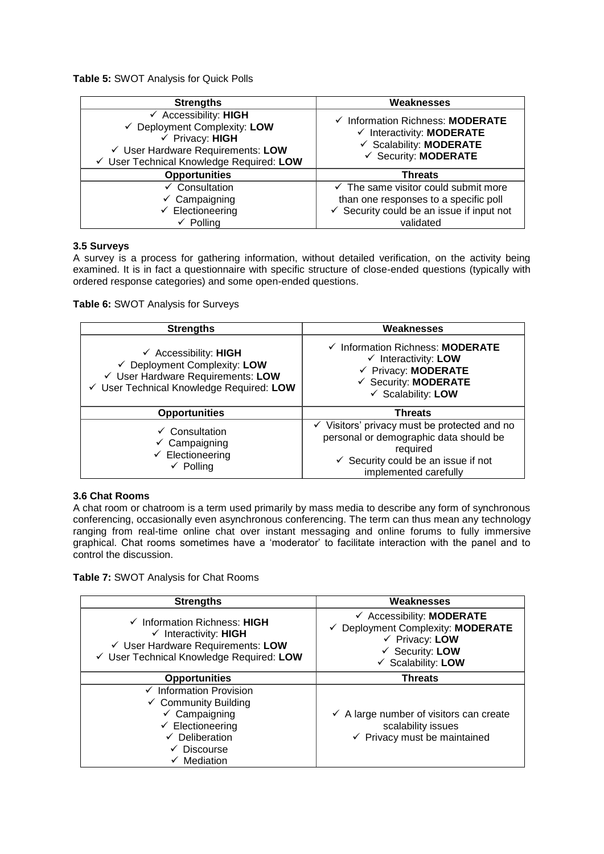**Table 5:** SWOT Analysis for Quick Polls

| <b>Strengths</b>                                                                                                                                                                           | Weaknesses                                                                                                                                           |
|--------------------------------------------------------------------------------------------------------------------------------------------------------------------------------------------|------------------------------------------------------------------------------------------------------------------------------------------------------|
| $\checkmark$ Accessibility: HIGH<br>$\checkmark$ Deployment Complexity: LOW<br>$\checkmark$ Privacy: HIGH<br>√ User Hardware Requirements: LOW<br>√ User Technical Knowledge Required: LOW | └ Information Richness: MODERATE<br>$\checkmark$ Interactivity: <b>MODERATE</b><br>✓ Scalability: MODERATE<br>$\checkmark$ Security: <b>MODERATE</b> |
| <b>Opportunities</b>                                                                                                                                                                       | <b>Threats</b>                                                                                                                                       |
| $\checkmark$ Consultation                                                                                                                                                                  | $\checkmark$ The same visitor could submit more                                                                                                      |
| $\checkmark$ Campaigning                                                                                                                                                                   | than one responses to a specific poll                                                                                                                |
| $\checkmark$ Electioneering                                                                                                                                                                | $\checkmark$ Security could be an issue if input not                                                                                                 |
| $\checkmark$ Polling                                                                                                                                                                       | validated                                                                                                                                            |

### **3.5 Surveys**

A survey is a process for gathering information, without detailed verification, on the activity being examined. It is in fact a questionnaire with specific structure of close-ended questions (typically with ordered response categories) and some open-ended questions.

### **Table 6:** SWOT Analysis for Surveys

| <b>Strengths</b>                                                                                                                                  | Weaknesses                                                                                                                                                                               |
|---------------------------------------------------------------------------------------------------------------------------------------------------|------------------------------------------------------------------------------------------------------------------------------------------------------------------------------------------|
| $\checkmark$ Accessibility: HIGH<br>← Deployment Complexity: LOW<br>√ User Hardware Requirements: LOW<br>√ User Technical Knowledge Required: LOW | └ Information Richness: MODERATE<br>$\checkmark$ Interactivity: LOW<br>← Privacy: MODERATE<br>← Security: MODERATE<br>$\checkmark$ Scalability: LOW                                      |
| <b>Opportunities</b>                                                                                                                              | <b>Threats</b>                                                                                                                                                                           |
| $\checkmark$ Consultation<br>$\checkmark$ Campaigning<br>$\checkmark$ Electioneering<br>$\checkmark$ Polling                                      | $\checkmark$ Visitors' privacy must be protected and no<br>personal or demographic data should be<br>required<br>$\checkmark$ Security could be an issue if not<br>implemented carefully |

#### **3.6 Chat Rooms**

A chat room or chatroom is a term used primarily by mass media to describe any form of synchronous conferencing, occasionally even asynchronous conferencing. The term can thus mean any technology ranging from real-time [online chat](http://en.wikipedia.org/wiki/Online_chat) over [instant messaging](http://en.wikipedia.org/wiki/Instant_messaging) and [online forums](http://en.wikipedia.org/wiki/Online_forums) to fully immersive graphical. Chat rooms sometimes have a "moderator" to facilitate interaction with the panel and to control the discussion.

**Table 7:** SWOT Analysis for Chat Rooms

| <b>Strengths</b>                                                                                                                                                                                     | Weaknesses                                                                                                                                                                   |
|------------------------------------------------------------------------------------------------------------------------------------------------------------------------------------------------------|------------------------------------------------------------------------------------------------------------------------------------------------------------------------------|
| $\checkmark$ Information Richness: HIGH<br>$\checkmark$ Interactivity: HIGH<br>$\checkmark$ User Hardware Requirements: LOW<br>√ User Technical Knowledge Required: LOW                              | $\checkmark$ Accessibility: <b>MODERATE</b><br>← Deployment Complexity: MODERATE<br>$\checkmark$ Privacy: LOW<br>$\checkmark$ Security: LOW<br>$\checkmark$ Scalability: LOW |
| <b>Opportunities</b>                                                                                                                                                                                 | <b>Threats</b>                                                                                                                                                               |
| $\checkmark$ Information Provision<br>$\checkmark$ Community Building<br>$\checkmark$ Campaigning<br>$\checkmark$ Electioneering<br>$\checkmark$ Deliberation<br>$\checkmark$ Discourse<br>Mediation | $\checkmark$ A large number of visitors can create<br>scalability issues<br>$\checkmark$ Privacy must be maintained                                                          |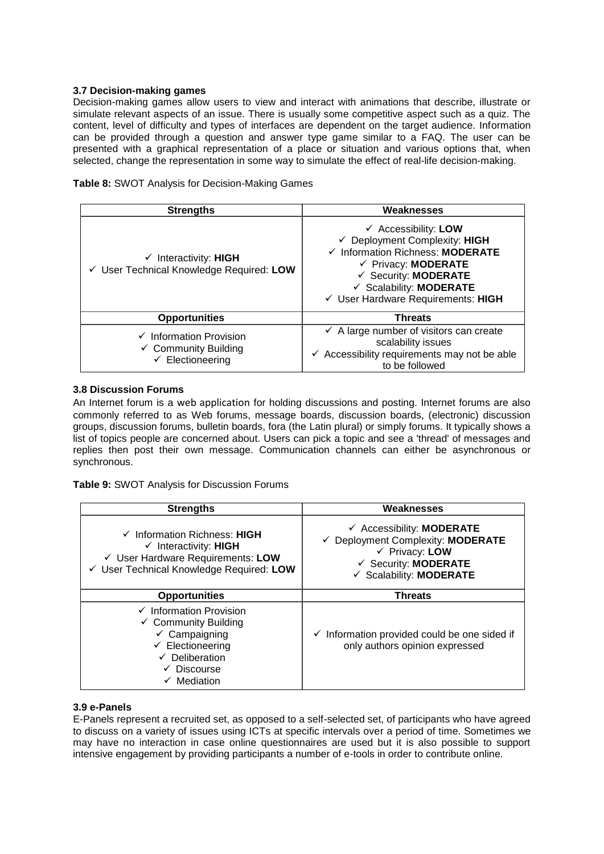### **3.7 Decision-making games**

Decision-making games allow users to view and interact with animations that describe, illustrate or simulate relevant aspects of an issue. There is usually some competitive aspect such as a quiz. The content, level of difficulty and types of interfaces are dependent on the target audience. Information can be provided through a question and answer type game similar to a FAQ. The user can be presented with a graphical representation of a place or situation and various options that, when selected, change the representation in some way to simulate the effect of real-life decision-making.

| Table 8: SWOT Analysis for Decision-Making Games |  |
|--------------------------------------------------|--|
|--------------------------------------------------|--|

| <b>Strengths</b>                                                                                     | Weaknesses                                                                                                                                                                                                                                               |
|------------------------------------------------------------------------------------------------------|----------------------------------------------------------------------------------------------------------------------------------------------------------------------------------------------------------------------------------------------------------|
| $\checkmark$ Interactivity: HIGH<br>√ User Technical Knowledge Required: LOW                         | $\checkmark$ Accessibility: LOW<br>← Deployment Complexity: HIGH<br>← Information Richness: MODERATE<br>$\checkmark$ Privacy: <b>MODERATE</b><br>$\checkmark$ Security: <b>MODERATE</b><br>✓ Scalability: MODERATE<br>√ User Hardware Requirements: HIGH |
| <b>Opportunities</b>                                                                                 | <b>Threats</b>                                                                                                                                                                                                                                           |
| $\checkmark$ Information Provision<br>$\checkmark$ Community Building<br>$\checkmark$ Electioneering | $\checkmark$ A large number of visitors can create<br>scalability issues<br>$\checkmark$ Accessibility requirements may not be able<br>to be followed                                                                                                    |

### **3.8 Discussion Forums**

An Internet forum is a [web application](http://en.wikipedia.org/wiki/Web_application) for holding discussions and posting. Internet forums are also commonly referred to as Web forums, message boards, discussion boards, (electronic) discussion groups, discussion forums, bulletin boards, fora (the [Latin](http://en.wikipedia.org/wiki/Latin) plural) or simply forums. It typically shows a list of topics people are concerned about. Users can pick a topic and see a 'thread' of messages and replies then post their own message. Communication channels can either be asynchronous or synchronous.

**Table 9:** SWOT Analysis for Discussion Forums

| <b>Strengths</b>                                                                                                                                                                                     | Weaknesses                                                                                                                                                                         |
|------------------------------------------------------------------------------------------------------------------------------------------------------------------------------------------------------|------------------------------------------------------------------------------------------------------------------------------------------------------------------------------------|
| $\checkmark$ Information Richness: HIGH<br>$\checkmark$ Interactivity: HIGH<br>√ User Hardware Requirements: LOW<br>√ User Technical Knowledge Required: LOW                                         | $\checkmark$ Accessibility: <b>MODERATE</b><br>← Deployment Complexity: MODERATE<br>$\checkmark$ Privacy: LOW<br>$\checkmark$ Security: <b>MODERATE</b><br>✓ Scalability: MODERATE |
| <b>Opportunities</b>                                                                                                                                                                                 | <b>Threats</b>                                                                                                                                                                     |
| $\checkmark$ Information Provision<br>$\checkmark$ Community Building<br>$\checkmark$ Campaigning<br>$\checkmark$ Electioneering<br>$\checkmark$ Deliberation<br>$\checkmark$ Discourse<br>Mediation | Information provided could be one sided if<br>$\checkmark$<br>only authors opinion expressed                                                                                       |

### **3.9 e-Panels**

E-Panels represent a recruited set, as opposed to a self-selected set, of participants who have agreed to discuss on a variety of issues using ICTs at specific intervals over a period of time. Sometimes we may have no interaction in case online questionnaires are used but it is also possible to support intensive engagement by providing participants a number of e-tools in order to contribute online.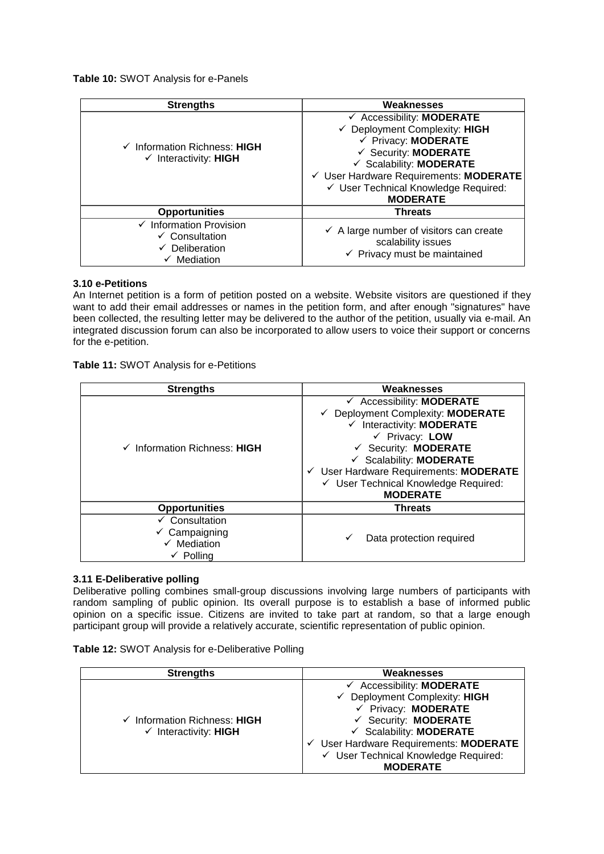**Table 10:** SWOT Analysis for e-Panels

| <b>Strengths</b>                                                                                                       | Weaknesses                                                                                                                                                                                                                                                  |  |  |  |  |  |
|------------------------------------------------------------------------------------------------------------------------|-------------------------------------------------------------------------------------------------------------------------------------------------------------------------------------------------------------------------------------------------------------|--|--|--|--|--|
| $\checkmark$ Information Richness: HIGH<br>$\checkmark$ Interactivity: HIGH                                            | $\checkmark$ Accessibility: <b>MODERATE</b><br>← Deployment Complexity: HIGH<br>← Privacy: MODERATE<br>← Security: MODERATE<br>✓ Scalability: MODERATE<br>√ User Hardware Requirements: MODERATE<br>✓ User Technical Knowledge Required:<br><b>MODERATE</b> |  |  |  |  |  |
| <b>Opportunities</b>                                                                                                   | <b>Threats</b>                                                                                                                                                                                                                                              |  |  |  |  |  |
| $\checkmark$ Information Provision<br>$\checkmark$ Consultation<br>$\checkmark$ Deliberation<br>$\checkmark$ Mediation | $\checkmark$ A large number of visitors can create<br>scalability issues<br>$\checkmark$ Privacy must be maintained                                                                                                                                         |  |  |  |  |  |

# **3.10 e-Petitions**

An Internet petition is a form of [petition](http://en.wikipedia.org/wiki/Petition) posted on a [website.](http://en.wikipedia.org/wiki/Website) Website visitors are questioned if they want to add their email addresses or names in the petition form, and after enough "signatures" have been collected, the resulting letter may be delivered to the author of the petition, usually via [e-mail.](http://en.wikipedia.org/wiki/E-mail) An integrated discussion forum can also be incorporated to allow users to voice their support or concerns for the e-petition.

**Table 11:** SWOT Analysis for e-Petitions

| <b>Strengths</b>                                                                                        | Weaknesses                                                                                                                                                                                                                                                                                                                                        |
|---------------------------------------------------------------------------------------------------------|---------------------------------------------------------------------------------------------------------------------------------------------------------------------------------------------------------------------------------------------------------------------------------------------------------------------------------------------------|
| $\checkmark$ Information Richness: HIGH                                                                 | $\checkmark$ Accessibility: <b>MODERATE</b><br>← Deployment Complexity: MODERATE<br>$\checkmark$ Interactivity: MODERATE<br>$\checkmark$ Privacy: LOW<br>$\checkmark$ Security: <b>MODERATE</b><br>$\checkmark$ Scalability: <b>MODERATE</b><br>√ User Hardware Requirements: MODERATE<br>← User Technical Knowledge Required:<br><b>MODERATE</b> |
| <b>Opportunities</b>                                                                                    | <b>Threats</b>                                                                                                                                                                                                                                                                                                                                    |
| $\checkmark$ Consultation<br>$\checkmark$ Campaigning<br>$\checkmark$ Mediation<br>$\checkmark$ Polling | Data protection required                                                                                                                                                                                                                                                                                                                          |

### **3.11 E-Deliberative polling**

Deliberative polling combines small-group discussions involving large numbers of participants with random sampling of public opinion. Its overall purpose is to establish a base of informed public opinion on a specific issue. Citizens are invited to take part at random, so that a large enough participant group will provide a relatively accurate, scientific representation of public opinion.

|  |  | Table 12: SWOT Analysis for e-Deliberative Polling |
|--|--|----------------------------------------------------|
|--|--|----------------------------------------------------|

| <b>Strengths</b>                        | Weaknesses                                  |
|-----------------------------------------|---------------------------------------------|
|                                         | $\checkmark$ Accessibility: <b>MODERATE</b> |
|                                         | $\checkmark$ Deployment Complexity: HIGH    |
|                                         | ← Privacy: MODERATE                         |
| $\checkmark$ Information Richness: HIGH | $\checkmark$ Security: <b>MODERATE</b>      |
| $\checkmark$ Interactivity: HIGH        | $\checkmark$ Scalability: <b>MODERATE</b>   |
|                                         | User Hardware Requirements: MODERATE        |
|                                         | √ User Technical Knowledge Required:        |
|                                         | <b>MODERATE</b>                             |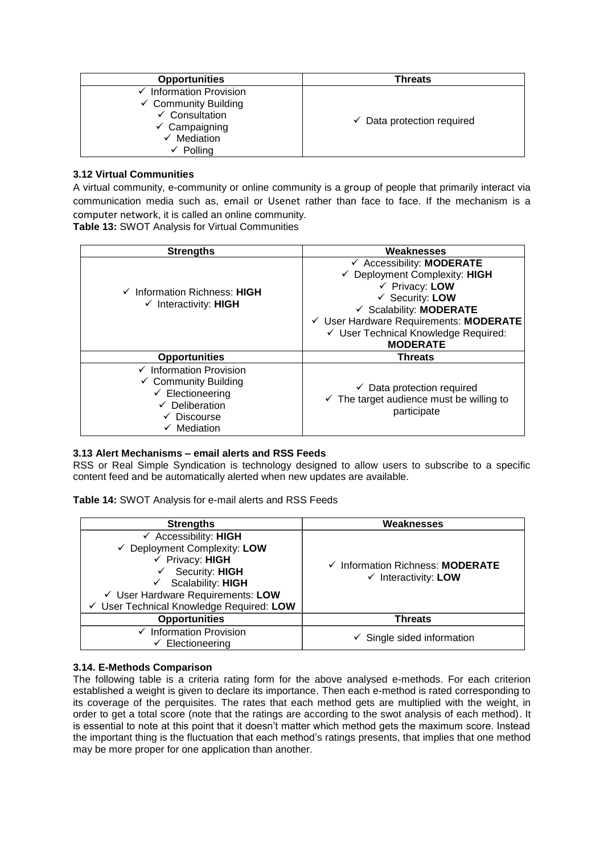| <b>Opportunities</b>                                                                                                                                                           | Threats                               |
|--------------------------------------------------------------------------------------------------------------------------------------------------------------------------------|---------------------------------------|
| $\checkmark$ Information Provision<br>$\checkmark$ Community Building<br>$\checkmark$ Consultation<br>$\checkmark$ Campaigning<br>Mediation<br>$\cdot$<br>$\checkmark$ Polling | $\checkmark$ Data protection required |

# **3.12 Virtual Communities**

A virtual community, e-community or online community is a [group](http://en.wikipedia.org/wiki/Group_%28sociology%29) of people that primarily interact via communication media such as, [email](http://en.wikipedia.org/wiki/Email) or Usenet rather than face to face. If the mechanism is a computer network, it is called an online community.

**Table 13:** SWOT Analysis for Virtual Communities

| <b>Strengths</b>                                                                                                                                                         | Weaknesses                                                                                                                                                                                                                                                              |
|--------------------------------------------------------------------------------------------------------------------------------------------------------------------------|-------------------------------------------------------------------------------------------------------------------------------------------------------------------------------------------------------------------------------------------------------------------------|
| $\checkmark$ Information Richness: HIGH<br>$\checkmark$ Interactivity: HIGH                                                                                              | $\checkmark$ Accessibility: <b>MODERATE</b><br>← Deployment Complexity: HIGH<br>$\checkmark$ Privacy: LOW<br>$\checkmark$ Security: LOW<br>✓ Scalability: MODERATE<br>√ User Hardware Requirements: MODERATE<br>√ User Technical Knowledge Required:<br><b>MODERATE</b> |
| <b>Opportunities</b>                                                                                                                                                     | <b>Threats</b>                                                                                                                                                                                                                                                          |
| $\checkmark$ Information Provision<br>$\checkmark$ Community Building<br>$\checkmark$ Electioneering<br>$\checkmark$ Deliberation<br>$\checkmark$ Discourse<br>Mediation | $\checkmark$ Data protection required<br>$\checkmark$ The target audience must be willing to<br>participate                                                                                                                                                             |

# **3.13 Alert Mechanisms – email alerts and RSS Feeds**

RSS or Real Simple Syndication is technology designed to allow users to subscribe to a specific content feed and be automatically alerted when new updates are available.

**Table 14:** SWOT Analysis for e-mail alerts and RSS Feeds

| <b>Strengths</b>                                                                                                                                                                                                                               | Weaknesses                                                          |
|------------------------------------------------------------------------------------------------------------------------------------------------------------------------------------------------------------------------------------------------|---------------------------------------------------------------------|
| $\checkmark$ Accessibility: HIGH<br>$\checkmark$ Deployment Complexity: LOW<br>$\checkmark$ Privacy: HIGH<br>Security: HIGH<br>$\checkmark$ Scalability: HIGH<br>√ User Hardware Requirements: LOW<br>√ User Technical Knowledge Required: LOW | ✓ Information Richness: MODERATE<br>$\checkmark$ Interactivity: LOW |
| <b>Opportunities</b>                                                                                                                                                                                                                           | <b>Threats</b>                                                      |
| $\checkmark$ Information Provision<br>$\checkmark$ Electioneering                                                                                                                                                                              | $\checkmark$ Single sided information                               |

### **3.14. E-Methods Comparison**

The following table is a criteria rating form for the above analysed e-methods. For each criterion established a weight is given to declare its importance. Then each e-method is rated corresponding to its coverage of the perquisites. The rates that each method gets are multiplied with the weight, in order to get a total score (note that the ratings are according to the swot analysis of each method). It is essential to note at this point that it doesn"t matter which method gets the maximum score. Instead the important thing is the fluctuation that each method"s ratings presents, that implies that one method may be more proper for one application than another.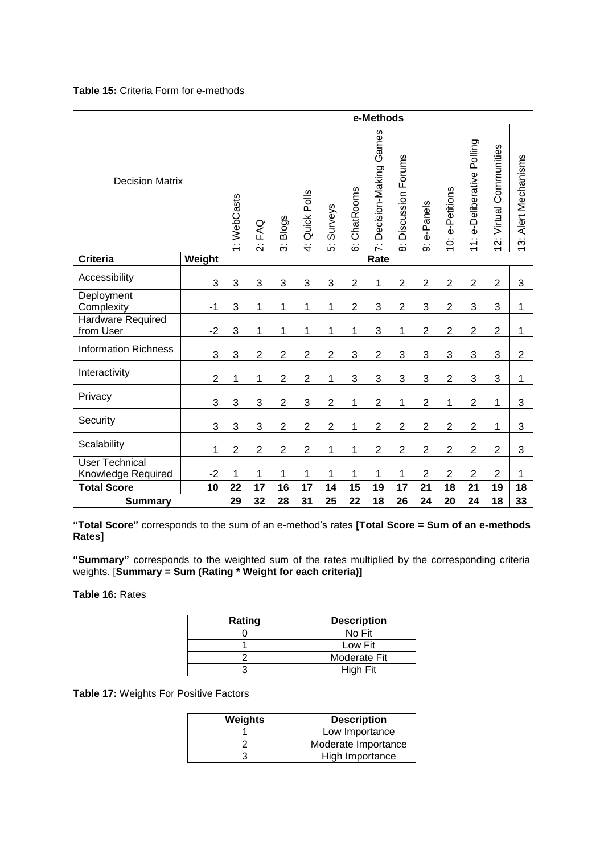# **Table 15:** Criteria Form for e-methods

|                                             |                |                |                |                         |                              |                          |                     | e-Methods                       |                                     |                |                  |                                                                 |                             |                                                         |
|---------------------------------------------|----------------|----------------|----------------|-------------------------|------------------------------|--------------------------|---------------------|---------------------------------|-------------------------------------|----------------|------------------|-----------------------------------------------------------------|-----------------------------|---------------------------------------------------------|
| <b>Decision Matrix</b>                      |                | 1: WebCasts    | FAQ<br>Ń       | <b>Blogs</b><br>.<br>ون | Quick Polls<br>$\frac{4}{1}$ | <b>Surveys</b><br>.<br>G | ChatRooms<br>.<br>ق | Games<br>Decision-Making<br>ΚÌ. | Discussion Forums<br>$\dot{\infty}$ | e-Panels<br>တ  | e-Petitions<br>ö | Polling<br>e-Deliberative<br>$\div$<br>$\overline{\phantom{0}}$ | Communities<br>Virtual<br>Ń | Alert Mechanisms<br>.<br>ون<br>$\overline{\phantom{0}}$ |
| <b>Criteria</b>                             | Weight         |                |                |                         |                              |                          |                     | Rate                            |                                     |                |                  |                                                                 |                             |                                                         |
| Accessibility                               | 3              | 3              | 3              | 3                       | 3                            | 3                        | $\overline{2}$      | 1                               | $\overline{2}$                      | $\overline{2}$ | $\overline{2}$   | $\overline{2}$                                                  | $\overline{2}$              | 3                                                       |
| Deployment<br>Complexity                    | $-1$           | 3              | $\mathbf 1$    | 1                       | 1                            | 1                        | $\overline{2}$      | 3                               | $\overline{2}$                      | 3              | $\overline{2}$   | 3                                                               | 3                           | 1                                                       |
| <b>Hardware Required</b><br>from User       | $-2$           | 3              | 1              | 1                       | 1                            | 1                        | 1                   | 3                               | 1                                   | $\overline{2}$ | $\overline{2}$   | $\overline{2}$                                                  | $\overline{2}$              | 1                                                       |
| <b>Information Richness</b>                 | 3              | 3              | $\overline{2}$ | $\overline{2}$          | $\overline{c}$               | $\overline{2}$           | 3                   | $\overline{2}$                  | 3                                   | 3              | 3                | 3                                                               | 3                           | $\overline{2}$                                          |
| Interactivity                               | $\overline{2}$ | 1              | 1              | $\overline{2}$          | $\overline{2}$               | 1                        | 3                   | 3                               | 3                                   | 3              | $\overline{2}$   | 3                                                               | 3                           | 1                                                       |
| Privacy                                     | 3              | 3              | 3              | $\overline{c}$          | 3                            | $\overline{2}$           | 1                   | $\overline{2}$                  | 1                                   | $\overline{2}$ | 1                | $\overline{2}$                                                  | 1                           | 3                                                       |
| Security                                    | 3              | 3              | 3              | $\overline{c}$          | $\overline{c}$               | $\overline{c}$           | 1                   | $\overline{2}$                  | $\overline{2}$                      | $\overline{2}$ | $\overline{2}$   | $\overline{2}$                                                  | 1                           | 3                                                       |
| Scalability                                 | 1              | $\overline{2}$ | $\overline{2}$ | $\overline{2}$          | $\overline{c}$               | 1                        | 1                   | $\overline{2}$                  | $\overline{2}$                      | $\overline{2}$ | $\overline{2}$   | $\overline{2}$                                                  | $\overline{2}$              | 3                                                       |
| <b>User Technical</b><br>Knowledge Required | $-2$           | 1              | 1              | 1                       | 1                            | 1                        | 1                   | 1                               | 1                                   | $\overline{2}$ | $\overline{2}$   | $\overline{2}$                                                  | $\overline{2}$              | 1                                                       |
| <b>Total Score</b>                          | 10             | 22             | 17             | 16                      | 17                           | 14                       | 15                  | 19                              | 17                                  | 21             | 18               | 21                                                              | 19                          | 18                                                      |
| <b>Summary</b>                              |                | 29             | 32             | 28                      | 31                           | 25                       | 22                  | 18                              | 26                                  | 24             | 20               | 24                                                              | 18                          | 33                                                      |

**"Total Score"** corresponds to the sum of an e-method"s rates **[Total Score = Sum of an e-methods Rates]**

**"Summary"** corresponds to the weighted sum of the rates multiplied by the corresponding criteria weights. [**Summary = Sum (Rating \* Weight for each criteria)]**

**Table 16:** Rates

| Rating | <b>Description</b> |
|--------|--------------------|
|        | No Fit             |
|        | Low Fit            |
|        | Moderate Fit       |
|        | High Fit           |

**Table 17:** Weights For Positive Factors

| <b>Weights</b> | <b>Description</b>  |
|----------------|---------------------|
|                | Low Importance      |
|                | Moderate Importance |
|                | High Importance     |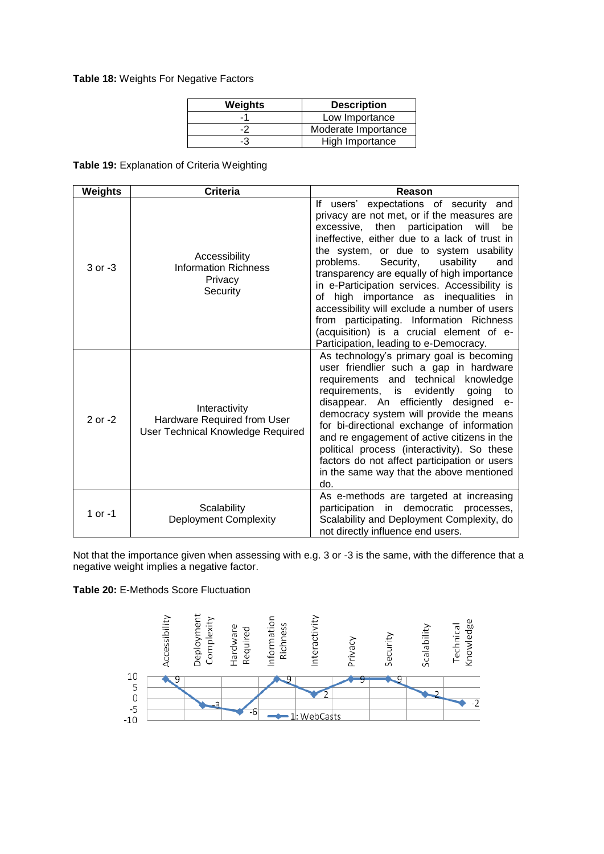### **Table 18:** Weights For Negative Factors

| <b>Weights</b> | <b>Description</b>  |
|----------------|---------------------|
| $-7$           | Low Importance      |
|                | Moderate Importance |
| -3             | High Importance     |

### **Table 19:** Explanation of Criteria Weighting

| Weights   | <b>Criteria</b>                                                                          | Reason                                                                                                                                                                                                                                                                                                                                                                                                                                                                                                                                                                                                             |
|-----------|------------------------------------------------------------------------------------------|--------------------------------------------------------------------------------------------------------------------------------------------------------------------------------------------------------------------------------------------------------------------------------------------------------------------------------------------------------------------------------------------------------------------------------------------------------------------------------------------------------------------------------------------------------------------------------------------------------------------|
| 3 or -3   | Accessibility<br><b>Information Richness</b><br>Privacy<br>Security                      | users' expectations of security and<br>lf.<br>privacy are not met, or if the measures are<br>excessive,<br>then participation<br>will<br>be<br>ineffective, either due to a lack of trust in<br>the system, or due to system usability<br>problems.<br>Security,<br>usability<br>and<br>transparency are equally of high importance<br>in e-Participation services. Accessibility is<br>high importance as inequalities in<br>οf<br>accessibility will exclude a number of users<br>from participating. Information Richness<br>(acquisition) is a crucial element of e-<br>Participation, leading to e-Democracy. |
| 2 or -2   | Interactivity<br>Hardware Required from User<br><b>User Technical Knowledge Required</b> | As technology's primary goal is becoming<br>user friendlier such a gap in hardware<br>requirements and technical<br>knowledge<br>requirements,<br>evidently<br>is<br>going<br>to<br>disappear. An efficiently designed e-<br>democracy system will provide the means<br>for bi-directional exchange of information<br>and re engagement of active citizens in the<br>political process (interactivity). So these<br>factors do not affect participation or users<br>in the same way that the above mentioned<br>do.                                                                                                |
| 1 or $-1$ | Scalability<br><b>Deployment Complexity</b>                                              | As e-methods are targeted at increasing<br>participation in democratic processes,<br>Scalability and Deployment Complexity, do<br>not directly influence end users.                                                                                                                                                                                                                                                                                                                                                                                                                                                |

Not that the importance given when assessing with e.g. 3 or -3 is the same, with the difference that a negative weight implies a negative factor.



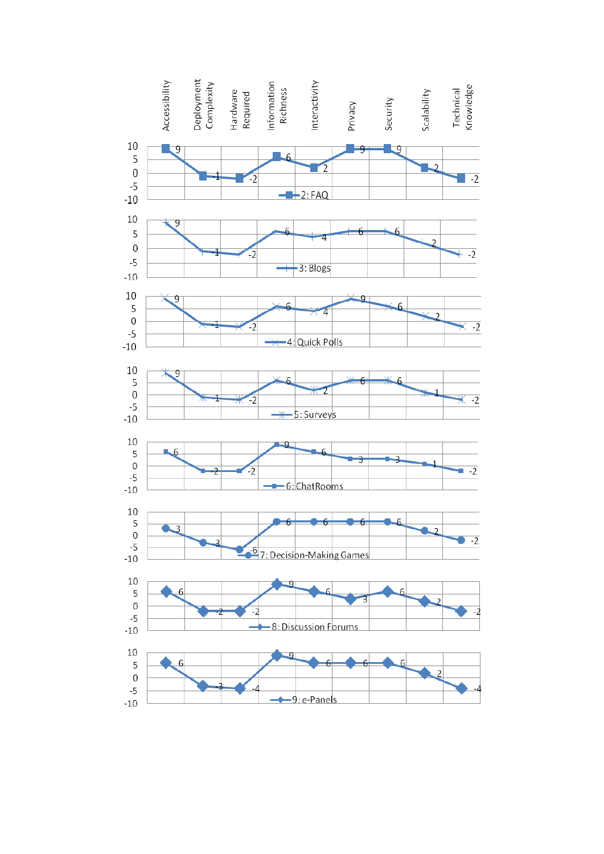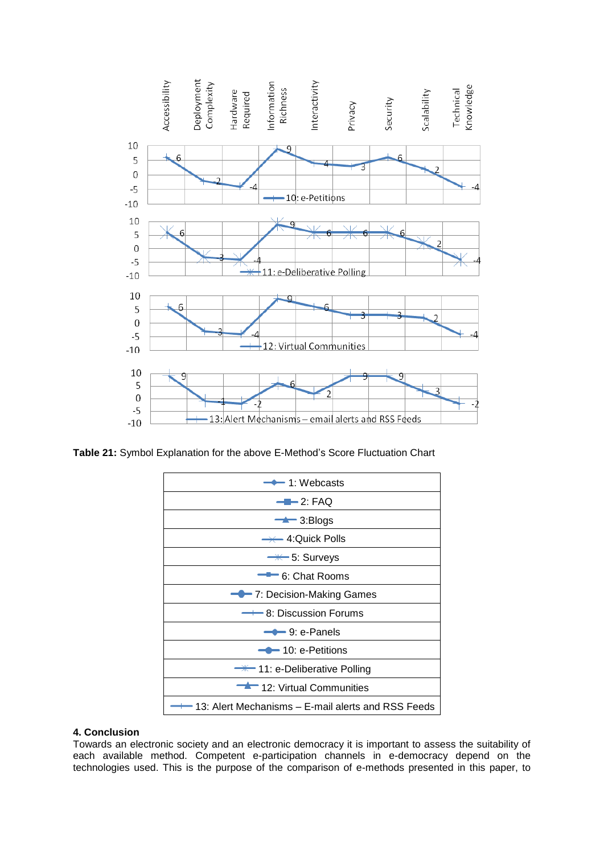

**Table 21:** Symbol Explanation for the above E-Method"s Score Fluctuation Chart



### **4. Conclusion**

Towards an electronic society and an electronic democracy it is important to assess the suitability of each available method. Competent e-participation channels in e-democracy depend on the technologies used. This is the purpose of the comparison of e-methods presented in this paper, to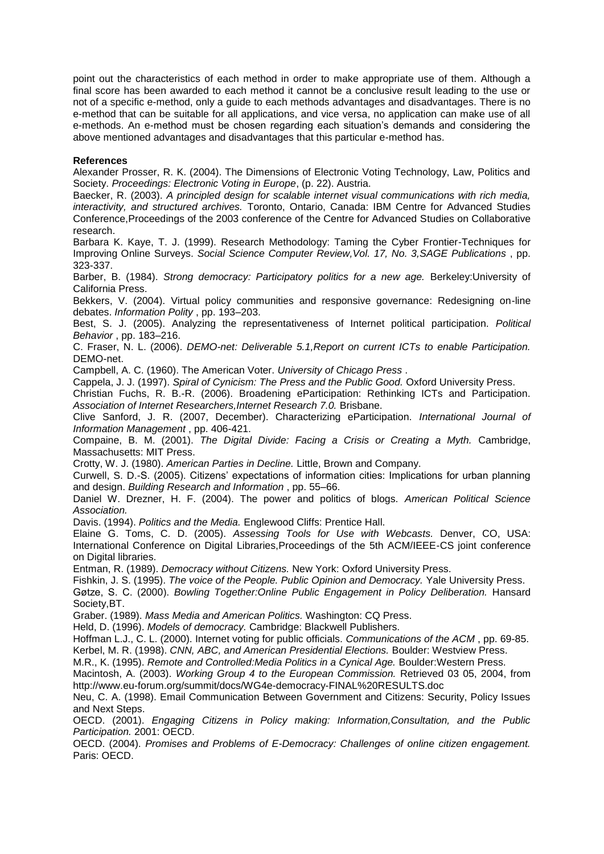point out the characteristics of each method in order to make appropriate use of them. Although a final score has been awarded to each method it cannot be a conclusive result leading to the use or not of a specific e-method, only a guide to each methods advantages and disadvantages. There is no e-method that can be suitable for all applications, and vice versa, no application can make use of all e-methods. An e-method must be chosen regarding each situation"s demands and considering the above mentioned advantages and disadvantages that this particular e-method has.

### **References**

Alexander Prosser, R. K. (2004). The Dimensions of Electronic Voting Technology, Law, Politics and Society. *Proceedings: Electronic Voting in Europe*, (p. 22). Austria.

Baecker, R. (2003). *A principled design for scalable internet visual communications with rich media, interactivity, and structured archives.* Toronto, Ontario, Canada: IBM Centre for Advanced Studies Conference,Proceedings of the 2003 conference of the Centre for Advanced Studies on Collaborative research.

Barbara K. Kaye, T. J. (1999). Research Methodology: Taming the Cyber Frontier-Techniques for Improving Online Surveys. *Social Science Computer Review,Vol. 17, No. 3,SAGE Publications* , pp. 323-337.

Barber, B. (1984). *Strong democracy: Participatory politics for a new age.* Berkeley:University of California Press.

Bekkers, V. (2004). Virtual policy communities and responsive governance: Redesigning on-line debates. *Information Polity* , pp. 193–203.

Best, S. J. (2005). Analyzing the representativeness of Internet political participation. *Political Behavior* , pp. 183–216.

C. Fraser, N. L. (2006). *DEMO-net: Deliverable 5.1,Report on current ICTs to enable Participation.* DEMO-net.

Campbell, A. C. (1960). The American Voter. *University of Chicago Press* .

Cappela, J. J. (1997). *Spiral of Cynicism: The Press and the Public Good.* Oxford University Press.

Christian Fuchs, R. B.-R. (2006). Broadening eParticipation: Rethinking ICTs and Participation. *Association of Internet Researchers,Internet Research 7.0.* Brisbane.

Clive Sanford, J. R. (2007, December). Characterizing eParticipation. *International Journal of Information Management* , pp. 406-421.

Compaine, B. M. (2001). *The Digital Divide: Facing a Crisis or Creating a Myth.* Cambridge, Massachusetts: MIT Press.

Crotty, W. J. (1980). *American Parties in Decline.* Little, Brown and Company.

Curwell, S. D.-S. (2005). Citizens" expectations of information cities: Implications for urban planning and design. *Building Research and Information* , pp. 55–66.

Daniel W. Drezner, H. F. (2004). The power and politics of blogs. *American Political Science Association.*

Davis. (1994). *Politics and the Media.* Englewood Cliffs: Prentice Hall.

Elaine G. Toms, C. D. (2005). *Assessing Tools for Use with Webcasts.* Denver, CO, USA: International Conference on Digital Libraries,Proceedings of the 5th ACM/IEEE-CS joint conference on Digital libraries.

Entman, R. (1989). *Democracy without Citizens.* New York: Oxford University Press.

Fishkin, J. S. (1995). *The voice of the People. Public Opinion and Democracy.* Yale University Press. Gøtze, S. C. (2000). *Bowling Together:Online Public Engagement in Policy Deliberation.* Hansard Society,BT.

Graber. (1989). *Mass Media and American Politics.* Washington: CQ Press.

Held, D. (1996). *Models of democracy.* Cambridge: Blackwell Publishers.

Hoffman L.J., C. L. (2000). Internet voting for public officials. *Communications of the ACM* , pp. 69-85. Kerbel, M. R. (1998). *CNN, ABC, and American Presidential Elections.* Boulder: Westview Press.

M.R., K. (1995). *Remote and Controlled:Media Politics in a Cynical Age.* Boulder:Western Press.

Macintosh, A. (2003). *Working Group 4 to the European Commission.* Retrieved 03 05, 2004, from http://www.eu-forum.org/summit/docs/WG4e-democracy-FINAL%20RESULTS.doc

Neu, C. A. (1998). Email Communication Between Government and Citizens: Security, Policy Issues and Next Steps.

OECD. (2001). *Engaging Citizens in Policy making: Information,Consultation, and the Public Participation.* 2001: OECD.

OECD. (2004). *Promises and Problems of E-Democracy: Challenges of online citizen engagement.* Paris: OECD.